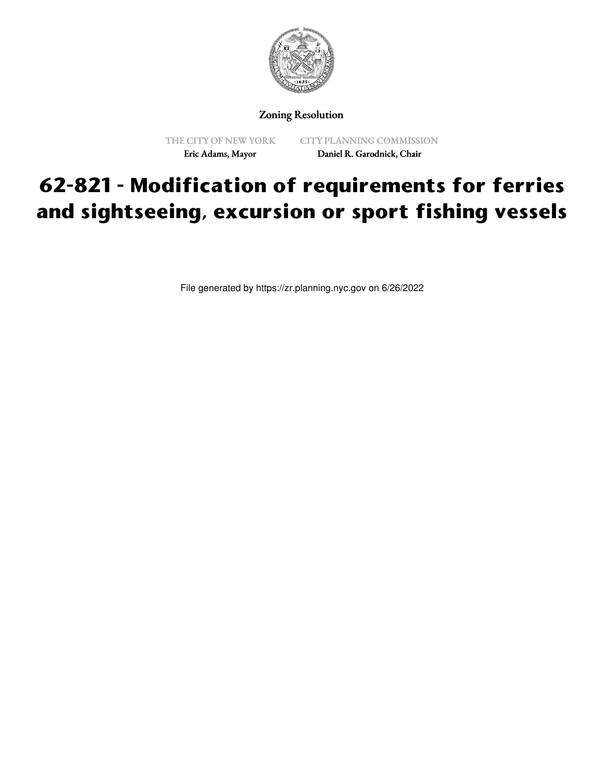

Zoning Resolution

THE CITY OF NEW YORK Eric Adams, Mayor

CITY PLANNING COMMISSION Daniel R. Garodnick, Chair

## **62-821 - Modification of requirements for ferries and sightseeing, excursion or sport fishing vessels**

File generated by https://zr.planning.nyc.gov on 6/26/2022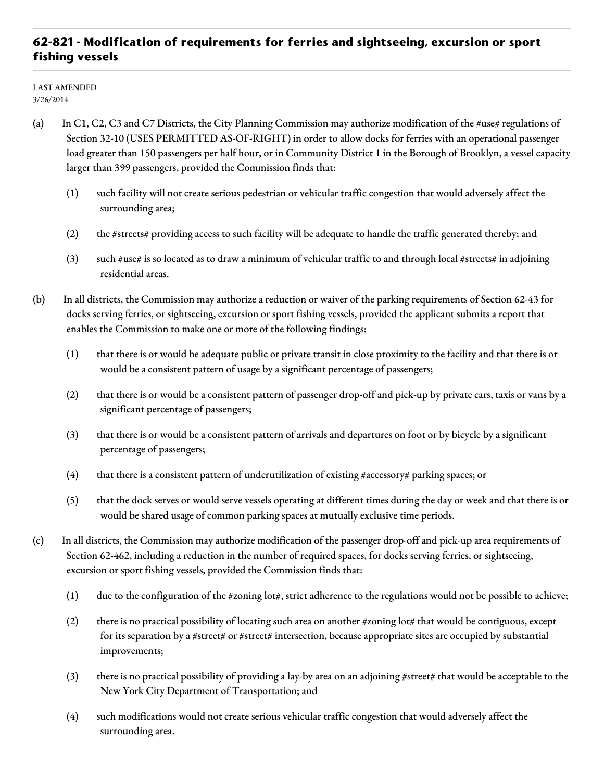## **62-821 - Modification of requirements for ferries and sightseeing, excursion or sport fishing vessels**

LAST AMENDED 3/26/2014

- (a) In C1, C2, C3 and C7 Districts, the City Planning Commission may authorize modification of the #use# regulations of Section 32-10 (USES PERMITTED AS-OF-RIGHT) in order to allow docks for ferries with an operational passenger load greater than 150 passengers per half hour, or in Community District 1 in the Borough of Brooklyn, a vessel capacity larger than 399 passengers, provided the Commission finds that:
	- (1) such facility will not create serious pedestrian or vehicular traffic congestion that would adversely affect the surrounding area;
	- (2) the #streets# providing access to such facility will be adequate to handle the traffic generated thereby; and
	- (3) such #use# is so located as to draw a minimum of vehicular traffic to and through local #streets# in adjoining residential areas.
- (b) In all districts, the Commission may authorize a reduction or waiver of the parking requirements of Section 62-43 for docks serving ferries, or sightseeing, excursion or sport fishing vessels, provided the applicant submits a report that enables the Commission to make one or more of the following findings:
	- (1) that there is or would be adequate public or private transit in close proximity to the facility and that there is or would be a consistent pattern of usage by a significant percentage of passengers;
	- (2) that there is or would be a consistent pattern of passenger drop-off and pick-up by private cars, taxis or vans by a significant percentage of passengers;
	- (3) that there is or would be a consistent pattern of arrivals and departures on foot or by bicycle by a significant percentage of passengers;
	- (4) that there is a consistent pattern of underutilization of existing #accessory# parking spaces; or
	- (5) that the dock serves or would serve vessels operating at different times during the day or week and that there is or would be shared usage of common parking spaces at mutually exclusive time periods.
- (c) In all districts, the Commission may authorize modification of the passenger drop-off and pick-up area requirements of Section 62-462, including a reduction in the number of required spaces, for docks serving ferries, or sightseeing, excursion or sport fishing vessels, provided the Commission finds that:
	- (1) due to the configuration of the #zoning lot#, strict adherence to the regulations would not be possible to achieve;
	- (2) there is no practical possibility of locating such area on another #zoning lot# that would be contiguous, except for its separation by a #street# or #street# intersection, because appropriate sites are occupied by substantial improvements;
	- (3) there is no practical possibility of providing a lay-by area on an adjoining #street# that would be acceptable to the New York City Department of Transportation; and
	- (4) such modifications would not create serious vehicular traffic congestion that would adversely affect the surrounding area.